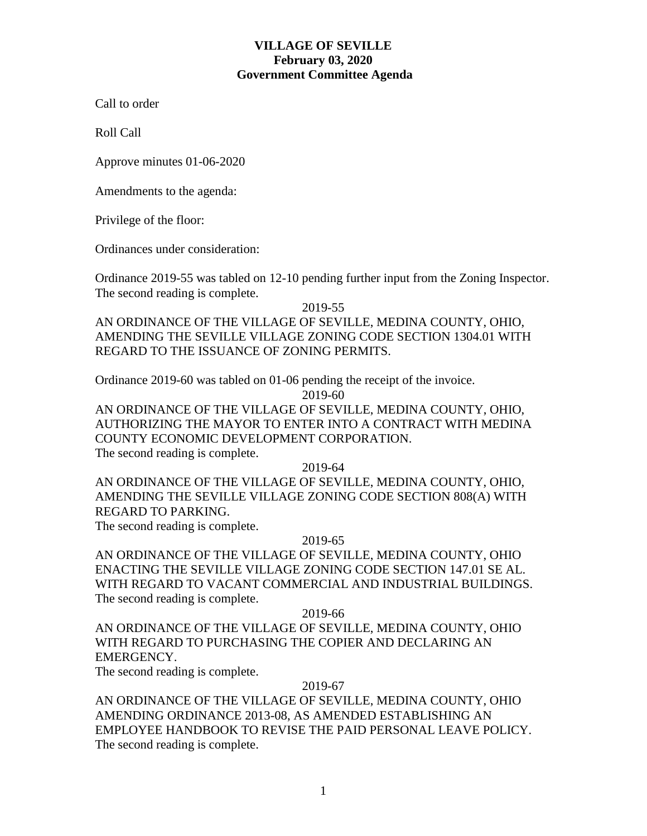# **VILLAGE OF SEVILLE February 03, 2020 Government Committee Agenda**

Call to order

Roll Call

Approve minutes 01-06-2020

Amendments to the agenda:

Privilege of the floor:

Ordinances under consideration:

Ordinance 2019-55 was tabled on 12-10 pending further input from the Zoning Inspector. The second reading is complete.

2019-55

AN ORDINANCE OF THE VILLAGE OF SEVILLE, MEDINA COUNTY, OHIO, AMENDING THE SEVILLE VILLAGE ZONING CODE SECTION 1304.01 WITH REGARD TO THE ISSUANCE OF ZONING PERMITS.

Ordinance 2019-60 was tabled on 01-06 pending the receipt of the invoice.

2019-60

AN ORDINANCE OF THE VILLAGE OF SEVILLE, MEDINA COUNTY, OHIO, AUTHORIZING THE MAYOR TO ENTER INTO A CONTRACT WITH MEDINA COUNTY ECONOMIC DEVELOPMENT CORPORATION. The second reading is complete.

2019-64

AN ORDINANCE OF THE VILLAGE OF SEVILLE, MEDINA COUNTY, OHIO, AMENDING THE SEVILLE VILLAGE ZONING CODE SECTION 808(A) WITH REGARD TO PARKING.

The second reading is complete.

## 2019-65

AN ORDINANCE OF THE VILLAGE OF SEVILLE, MEDINA COUNTY, OHIO ENACTING THE SEVILLE VILLAGE ZONING CODE SECTION 147.01 SE AL. WITH REGARD TO VACANT COMMERCIAL AND INDUSTRIAL BUILDINGS. The second reading is complete.

2019-66

AN ORDINANCE OF THE VILLAGE OF SEVILLE, MEDINA COUNTY, OHIO WITH REGARD TO PURCHASING THE COPIER AND DECLARING AN EMERGENCY.

The second reading is complete.

## 2019-67

AN ORDINANCE OF THE VILLAGE OF SEVILLE, MEDINA COUNTY, OHIO AMENDING ORDINANCE 2013-08, AS AMENDED ESTABLISHING AN EMPLOYEE HANDBOOK TO REVISE THE PAID PERSONAL LEAVE POLICY. The second reading is complete.